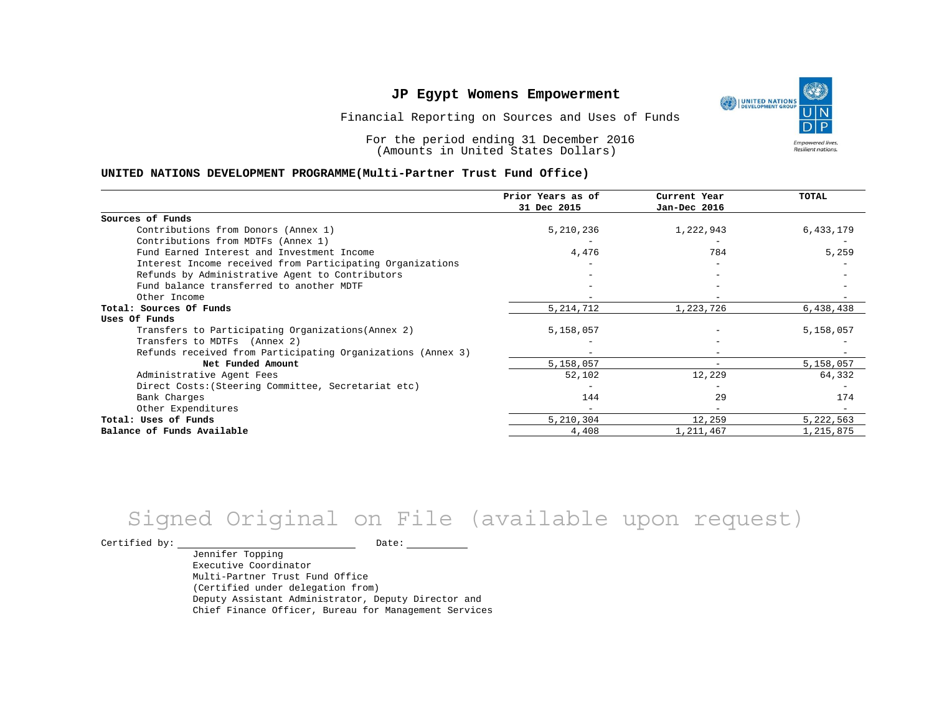Financial Reporting on Sources and Uses of Funds

For the period ending 31 December 2016 (Amounts in United States Dollars)

#### **UNITED NATIONS DEVELOPMENT PROGRAMME(Multi-Partner Trust Fund Office)**

|                                                             | Prior Years as of<br>31 Dec 2015 | Current Year<br>Jan-Dec 2016 | TOTAL     |
|-------------------------------------------------------------|----------------------------------|------------------------------|-----------|
|                                                             |                                  |                              |           |
| Sources of Funds                                            |                                  |                              |           |
| Contributions from Donors (Annex 1)                         | 5,210,236                        | 1,222,943                    | 6,433,179 |
| Contributions from MDTFs (Annex 1)                          |                                  |                              |           |
| Fund Earned Interest and Investment Income                  | 4,476                            | 784                          | 5,259     |
| Interest Income received from Participating Organizations   |                                  |                              |           |
| Refunds by Administrative Agent to Contributors             |                                  |                              |           |
| Fund balance transferred to another MDTF                    |                                  |                              |           |
| Other Income                                                |                                  |                              |           |
| Total: Sources Of Funds                                     | 5, 214, 712                      | 1,223,726                    | 6,438,438 |
| Uses Of Funds                                               |                                  |                              |           |
| Transfers to Participating Organizations (Annex 2)          | 5,158,057                        |                              | 5,158,057 |
| Transfers to MDTFs (Annex 2)                                |                                  |                              |           |
| Refunds received from Participating Organizations (Annex 3) |                                  | $\overline{\phantom{m}}$     |           |
| Net Funded Amount                                           | 5,158,057                        | $\overline{\phantom{m}}$     | 5,158,057 |
| Administrative Agent Fees                                   | 52,102                           | 12,229                       | 64,332    |
| Direct Costs: (Steering Committee, Secretariat etc)         |                                  |                              |           |
| Bank Charges                                                | 144                              | 29                           | 174       |
| Other Expenditures                                          |                                  |                              |           |
| Total: Uses of Funds                                        | 5,210,304                        | 12,259                       | 5,222,563 |
| Balance of Funds Available                                  | 4,408                            | 1,211,467                    | 1,215,875 |

# Signed Original on File (available upon request)

Certified by: Date:

Jennifer Topping Executive Coordinator Multi-Partner Trust Fund Office (Certified under delegation from) Deputy Assistant Administrator, Deputy Director and Chief Finance Officer, Bureau for Management Services

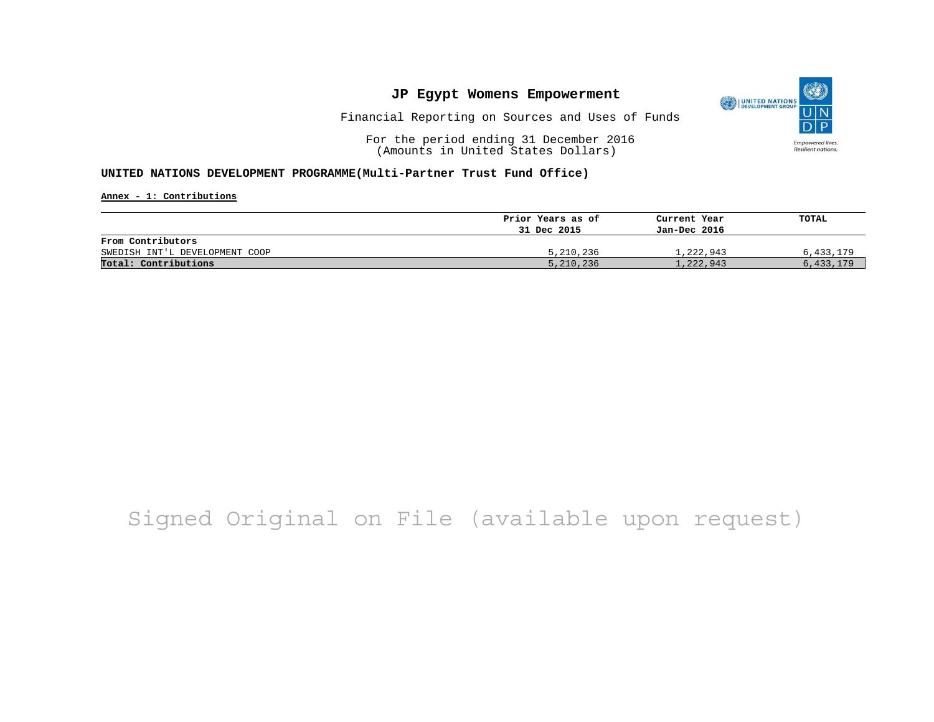

Financial Reporting on Sources and Uses of Funds

For the period ending 31 December 2016 (Amounts in United States Dollars)

#### **UNITED NATIONS DEVELOPMENT PROGRAMME(Multi-Partner Trust Fund Office)**

**Annex - 1: Contributions**

|                                | Prior Years as of | Current Year | TOTAL     |
|--------------------------------|-------------------|--------------|-----------|
|                                | 31 Dec 2015       | Jan-Dec 2016 |           |
| From Contributors              |                   |              |           |
| SWEDISH INT'L DEVELOPMENT COOP | 5,210,236         | 1,222,943    | 6,433,179 |
| Total: Contributions           | 5,210,236         | 1,222,943    | 6,433,179 |

## Signed Original on File (available upon request)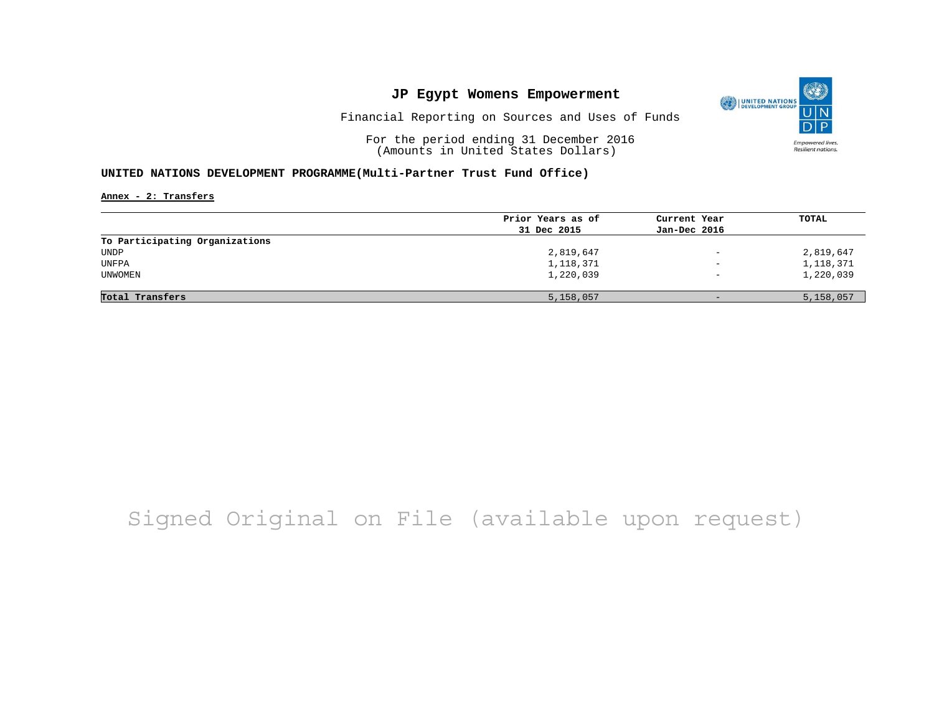

Financial Reporting on Sources and Uses of Funds

For the period ending 31 December 2016 (Amounts in United States Dollars)

### **UNITED NATIONS DEVELOPMENT PROGRAMME(Multi-Partner Trust Fund Office)**

**Annex - 2: Transfers**

| Prior Years as of<br>31 Dec 2015 | Current Year             | TOTAL     |
|----------------------------------|--------------------------|-----------|
|                                  |                          |           |
|                                  | Jan-Dec 2016             |           |
|                                  |                          |           |
| 2,819,647                        | $\qquad \qquad -$        | 2,819,647 |
| 1,118,371                        | $\overline{\phantom{0}}$ | 1,118,371 |
| 1,220,039                        | $\overline{\phantom{0}}$ | 1,220,039 |
|                                  | $-$                      | 5,158,057 |
|                                  | 5,158,057                |           |

## Signed Original on File (available upon request)